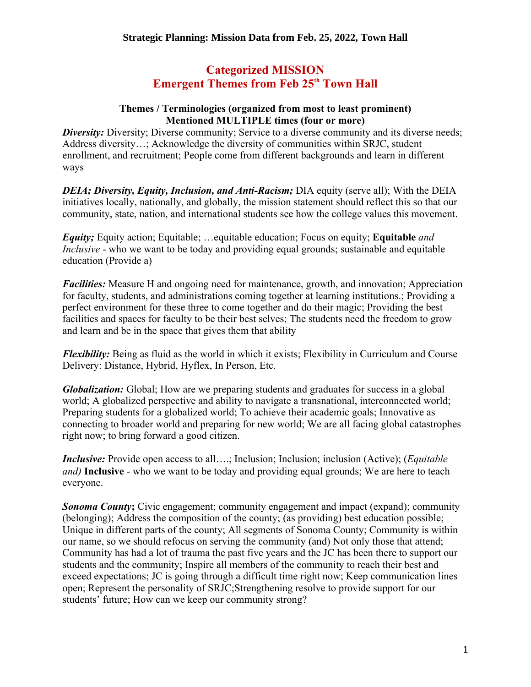# **Categorized MISSION Emergent Themes from Feb 25<sup>th</sup> Town Hall**

#### **Themes / Terminologies (organized from most to least prominent) Mentioned MULTIPLE times (four or more)**

**Diversity:** Diversity: Diverse community: Service to a diverse community and its diverse needs; Address diversity…; Acknowledge the diversity of communities within SRJC, student enrollment, and recruitment; People come from different backgrounds and learn in different ways

*DEIA; Diversity, Equity, Inclusion, and Anti-Racism; DIA equity (serve all); With the DEIA* initiatives locally, nationally, and globally, the mission statement should reflect this so that our community, state, nation, and international students see how the college values this movement.

*Equity;* Equity action; Equitable; …equitable education; Focus on equity; **Equitable** *and Inclusive* - who we want to be today and providing equal grounds; sustainable and equitable education (Provide a)

*Facilities:* Measure H and ongoing need for maintenance, growth, and innovation; Appreciation for faculty, students, and administrations coming together at learning institutions.; Providing a perfect environment for these three to come together and do their magic; Providing the best facilities and spaces for faculty to be their best selves; The students need the freedom to grow and learn and be in the space that gives them that ability

*Flexibility:* Being as fluid as the world in which it exists; Flexibility in Curriculum and Course Delivery: Distance, Hybrid, Hyflex, In Person, Etc.

*Globalization:* Global; How are we preparing students and graduates for success in a global world; A globalized perspective and ability to navigate a transnational, interconnected world; Preparing students for a globalized world; To achieve their academic goals; Innovative as connecting to broader world and preparing for new world; We are all facing global catastrophes right now; to bring forward a good citizen.

*Inclusive:* Provide open access to all....; Inclusion; Inclusion; inclusion (Active); (*Equitable and)* **Inclusive** - who we want to be today and providing equal grounds; We are here to teach everyone.

*Sonoma County*; Civic engagement; community engagement and impact (expand); community (belonging); Address the composition of the county; (as providing) best education possible; Unique in different parts of the county; All segments of Sonoma County; Community is within our name, so we should refocus on serving the community (and) Not only those that attend; Community has had a lot of trauma the past five years and the JC has been there to support our students and the community; Inspire all members of the community to reach their best and exceed expectations; JC is going through a difficult time right now; Keep communication lines open; Represent the personality of SRJC;Strengthening resolve to provide support for our students' future; How can we keep our community strong?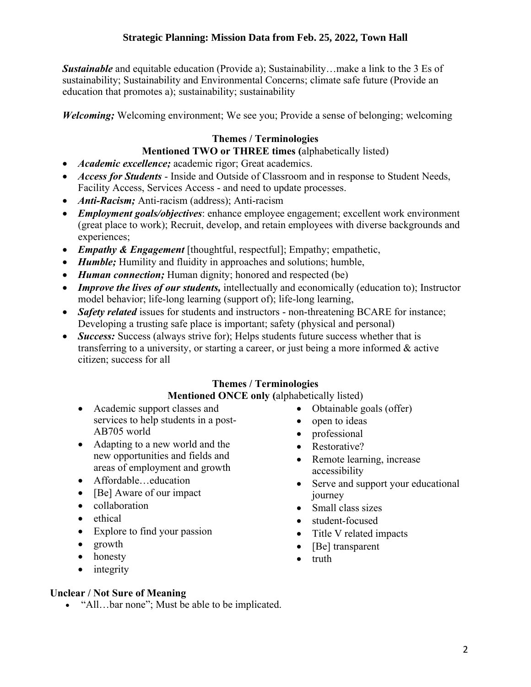**Sustainable** and equitable education (Provide a); Sustainability…make a link to the 3 Es of sustainability; Sustainability and Environmental Concerns; climate safe future (Provide an education that promotes a); sustainability; sustainability

*Welcoming*; Welcoming environment; We see you; Provide a sense of belonging; welcoming

### **Themes / Terminologies**

#### **Mentioned TWO or THREE times (**alphabetically listed)

- *Academic excellence;* academic rigor; Great academics.
- *Access for Students* Inside and Outside of Classroom and in response to Student Needs, Facility Access, Services Access - and need to update processes.
- *Anti-Racism;* Anti-racism (address); Anti-racism
- *Employment goals/objectives*: enhance employee engagement; excellent work environment (great place to work); Recruit, develop, and retain employees with diverse backgrounds and experiences;
- *Empathy & Engagement* [thoughtful, respectful]; Empathy; empathetic,
- *Humble*; Humility and fluidity in approaches and solutions; humble,
- *Human connection*; Human dignity; honored and respected (be)
- *Improve the lives of our students*, intellectually and economically (education to); Instructor model behavior; life-long learning (support of); life-long learning,
- **Safety related** issues for students and instructors non-threatening BCARE for instance; Developing a trusting safe place is important; safety (physical and personal)
- *Success:* Success (always strive for): Helps students future success whether that is transferring to a university, or starting a career, or just being a more informed & active citizen; success for all

### **Themes / Terminologies**

### **Mentioned ONCE only (**alphabetically listed)

- Academic support classes and services to help students in a post-AB705 world
- Adapting to a new world and the new opportunities and fields and areas of employment and growth
- Affordable…education
- [Be] Aware of our impact
- collaboration
- ethical
- Explore to find your passion
- growth
- honesty
- integrity

### **Unclear / Not Sure of Meaning**

• "All...bar none"; Must be able to be implicated.

- Obtainable goals (offer)
- open to ideas
- professional
- Restorative?
- Remote learning, increase accessibility
- Serve and support your educational journey
- Small class sizes
- student-focused
- Title V related impacts
- [Be] transparent
- truth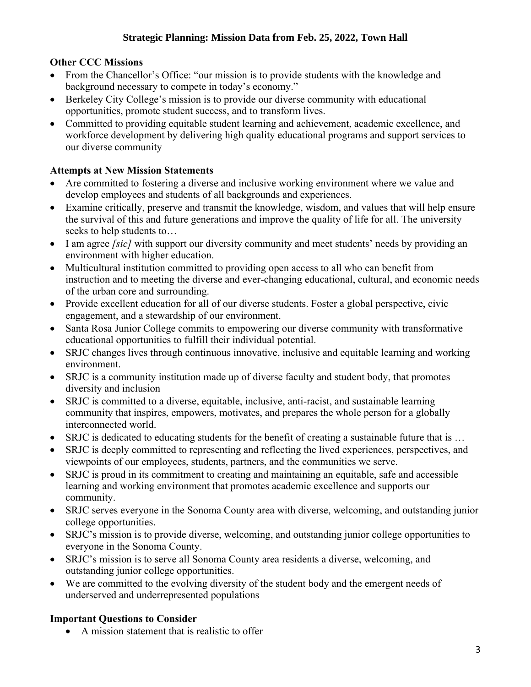## **Other CCC Missions**

- From the Chancellor's Office: "our mission is to provide students with the knowledge and background necessary to compete in today's economy."
- Berkeley City College's mission is to provide our diverse community with educational opportunities, promote student success, and to transform lives.
- Committed to providing equitable student learning and achievement, academic excellence, and workforce development by delivering high quality educational programs and support services to our diverse community

### **Attempts at New Mission Statements**

- Are committed to fostering a diverse and inclusive working environment where we value and develop employees and students of all backgrounds and experiences.
- Examine critically, preserve and transmit the knowledge, wisdom, and values that will help ensure the survival of this and future generations and improve the quality of life for all. The university seeks to help students to…
- I am agree *[sic]* with support our diversity community and meet students' needs by providing an environment with higher education.
- Multicultural institution committed to providing open access to all who can benefit from instruction and to meeting the diverse and ever-changing educational, cultural, and economic needs of the urban core and surrounding.
- Provide excellent education for all of our diverse students. Foster a global perspective, civic engagement, and a stewardship of our environment.
- Santa Rosa Junior College commits to empowering our diverse community with transformative educational opportunities to fulfill their individual potential.
- SRJC changes lives through continuous innovative, inclusive and equitable learning and working environment.
- SRJC is a community institution made up of diverse faculty and student body, that promotes diversity and inclusion
- SRJC is committed to a diverse, equitable, inclusive, anti-racist, and sustainable learning community that inspires, empowers, motivates, and prepares the whole person for a globally interconnected world.
- SRJC is dedicated to educating students for the benefit of creating a sustainable future that is ...
- SRJC is deeply committed to representing and reflecting the lived experiences, perspectives, and viewpoints of our employees, students, partners, and the communities we serve.
- SRJC is proud in its commitment to creating and maintaining an equitable, safe and accessible learning and working environment that promotes academic excellence and supports our community.
- SRJC serves everyone in the Sonoma County area with diverse, welcoming, and outstanding junior college opportunities.
- SRJC's mission is to provide diverse, welcoming, and outstanding junior college opportunities to everyone in the Sonoma County.
- SRJC's mission is to serve all Sonoma County area residents a diverse, welcoming, and outstanding junior college opportunities.
- We are committed to the evolving diversity of the student body and the emergent needs of underserved and underrepresented populations

## **Important Questions to Consider**

• A mission statement that is realistic to offer